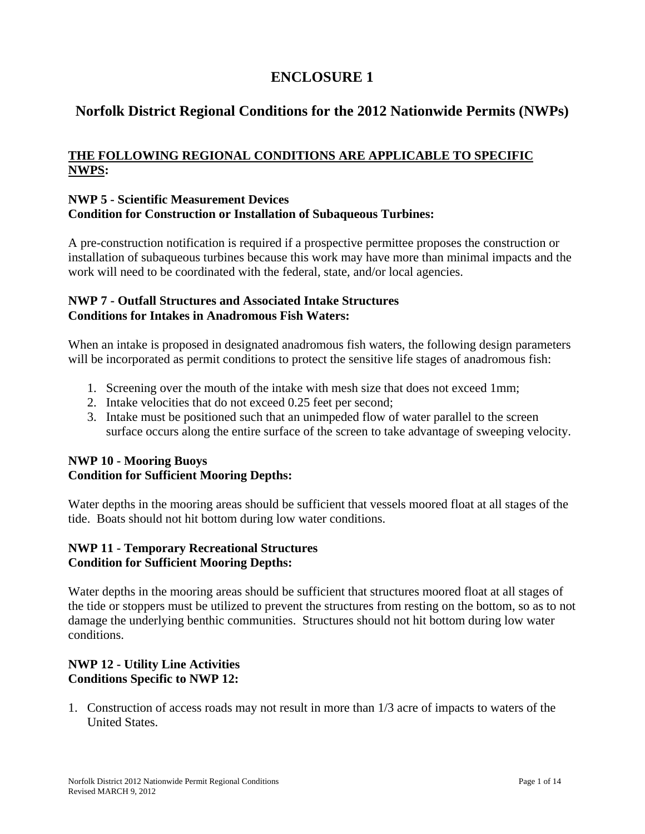# **ENCLOSURE 1**

# **Norfolk District Regional Conditions for the 2012 Nationwide Permits (NWPs)**

# **THE FOLLOWING REGIONAL CONDITIONS ARE APPLICABLE TO SPECIFIC NWPS:**

#### **NWP 5 - Scientific Measurement Devices Condition for Construction or Installation of Subaqueous Turbines:**

A pre-construction notification is required if a prospective permittee proposes the construction or installation of subaqueous turbines because this work may have more than minimal impacts and the work will need to be coordinated with the federal, state, and/or local agencies.

### **NWP 7 - Outfall Structures and Associated Intake Structures Conditions for Intakes in Anadromous Fish Waters:**

When an intake is proposed in designated anadromous fish waters, the following design parameters will be incorporated as permit conditions to protect the sensitive life stages of anadromous fish:

- 1. Screening over the mouth of the intake with mesh size that does not exceed 1mm;
- 2. Intake velocities that do not exceed 0.25 feet per second;
- 3. Intake must be positioned such that an unimpeded flow of water parallel to the screen surface occurs along the entire surface of the screen to take advantage of sweeping velocity.

### **NWP 10 - Mooring Buoys Condition for Sufficient Mooring Depths:**

Water depths in the mooring areas should be sufficient that vessels moored float at all stages of the tide. Boats should not hit bottom during low water conditions.

### **NWP 11 - Temporary Recreational Structures Condition for Sufficient Mooring Depths:**

Water depths in the mooring areas should be sufficient that structures moored float at all stages of the tide or stoppers must be utilized to prevent the structures from resting on the bottom, so as to not damage the underlying benthic communities. Structures should not hit bottom during low water conditions.

# **NWP 12 - Utility Line Activities Conditions Specific to NWP 12:**

1. Construction of access roads may not result in more than 1/3 acre of impacts to waters of the United States.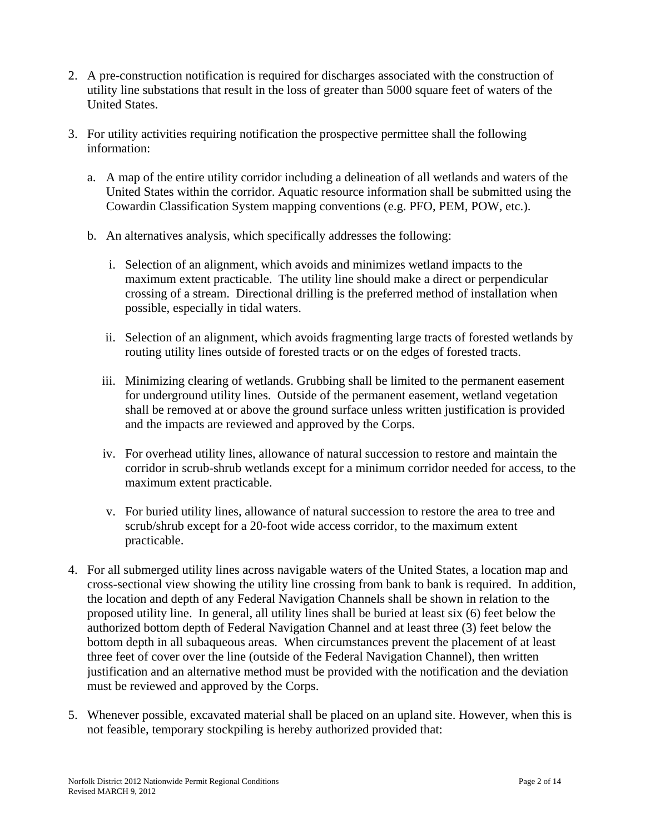- 2. A pre-construction notification is required for discharges associated with the construction of utility line substations that result in the loss of greater than 5000 square feet of waters of the United States.
- 3. For utility activities requiring notification the prospective permittee shall the following information:
	- a. A map of the entire utility corridor including a delineation of all wetlands and waters of the United States within the corridor. Aquatic resource information shall be submitted using the Cowardin Classification System mapping conventions (e.g. PFO, PEM, POW, etc.).
	- b. An alternatives analysis, which specifically addresses the following:
		- i. Selection of an alignment, which avoids and minimizes wetland impacts to the maximum extent practicable. The utility line should make a direct or perpendicular crossing of a stream. Directional drilling is the preferred method of installation when possible, especially in tidal waters.
		- ii. Selection of an alignment, which avoids fragmenting large tracts of forested wetlands by routing utility lines outside of forested tracts or on the edges of forested tracts.
		- iii. Minimizing clearing of wetlands. Grubbing shall be limited to the permanent easement for underground utility lines. Outside of the permanent easement, wetland vegetation shall be removed at or above the ground surface unless written justification is provided and the impacts are reviewed and approved by the Corps.
		- iv. For overhead utility lines, allowance of natural succession to restore and maintain the corridor in scrub-shrub wetlands except for a minimum corridor needed for access, to the maximum extent practicable.
		- v. For buried utility lines, allowance of natural succession to restore the area to tree and scrub/shrub except for a 20-foot wide access corridor, to the maximum extent practicable.
- 4. For all submerged utility lines across navigable waters of the United States, a location map and cross-sectional view showing the utility line crossing from bank to bank is required. In addition, the location and depth of any Federal Navigation Channels shall be shown in relation to the proposed utility line. In general, all utility lines shall be buried at least six (6) feet below the authorized bottom depth of Federal Navigation Channel and at least three (3) feet below the bottom depth in all subaqueous areas. When circumstances prevent the placement of at least three feet of cover over the line (outside of the Federal Navigation Channel), then written justification and an alternative method must be provided with the notification and the deviation must be reviewed and approved by the Corps.
- 5. Whenever possible, excavated material shall be placed on an upland site. However, when this is not feasible, temporary stockpiling is hereby authorized provided that: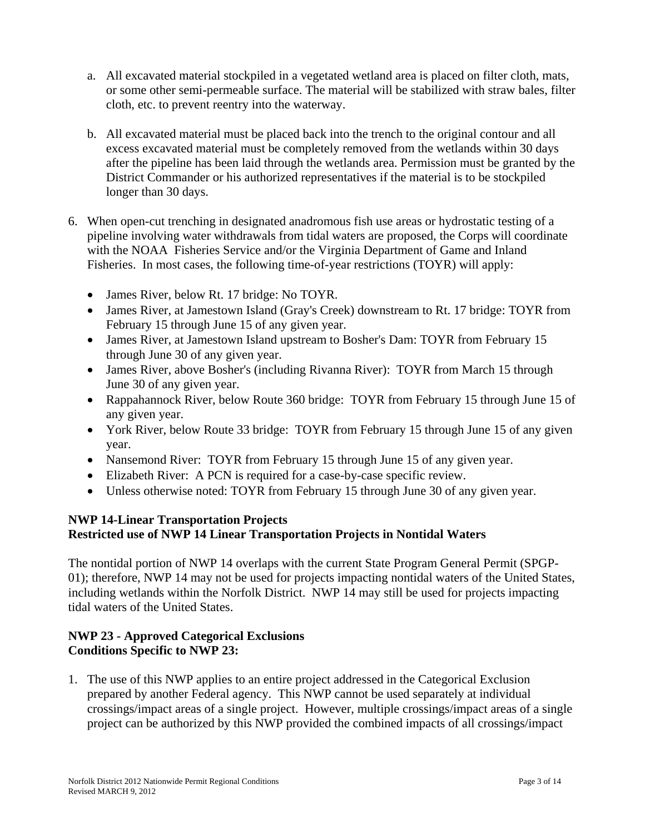- a. All excavated material stockpiled in a vegetated wetland area is placed on filter cloth, mats, or some other semi-permeable surface. The material will be stabilized with straw bales, filter cloth, etc. to prevent reentry into the waterway.
- b. All excavated material must be placed back into the trench to the original contour and all excess excavated material must be completely removed from the wetlands within 30 days after the pipeline has been laid through the wetlands area. Permission must be granted by the District Commander or his authorized representatives if the material is to be stockpiled longer than 30 days.
- 6. When open-cut trenching in designated anadromous fish use areas or hydrostatic testing of a pipeline involving water withdrawals from tidal waters are proposed, the Corps will coordinate with the NOAA Fisheries Service and/or the Virginia Department of Game and Inland Fisheries. In most cases, the following time-of-year restrictions (TOYR) will apply:
	- James River, below Rt. 17 bridge: No TOYR.
	- James River, at Jamestown Island (Gray's Creek) downstream to Rt. 17 bridge: TOYR from February 15 through June 15 of any given year.
	- James River, at Jamestown Island upstream to Bosher's Dam: TOYR from February 15 through June 30 of any given year.
	- James River, above Bosher's (including Rivanna River): TOYR from March 15 through June 30 of any given year.
	- Rappahannock River, below Route 360 bridge: TOYR from February 15 through June 15 of any given year.
	- York River, below Route 33 bridge: TOYR from February 15 through June 15 of any given year.
	- Nansemond River: TOYR from February 15 through June 15 of any given year.
	- Elizabeth River: A PCN is required for a case-by-case specific review.
	- Unless otherwise noted: TOYR from February 15 through June 30 of any given year.

### **NWP 14-Linear Transportation Projects Restricted use of NWP 14 Linear Transportation Projects in Nontidal Waters**

The nontidal portion of NWP 14 overlaps with the current State Program General Permit (SPGP-01); therefore, NWP 14 may not be used for projects impacting nontidal waters of the United States, including wetlands within the Norfolk District. NWP 14 may still be used for projects impacting tidal waters of the United States.

# **NWP 23 - Approved Categorical Exclusions Conditions Specific to NWP 23:**

1. The use of this NWP applies to an entire project addressed in the Categorical Exclusion prepared by another Federal agency. This NWP cannot be used separately at individual crossings/impact areas of a single project. However, multiple crossings/impact areas of a single project can be authorized by this NWP provided the combined impacts of all crossings/impact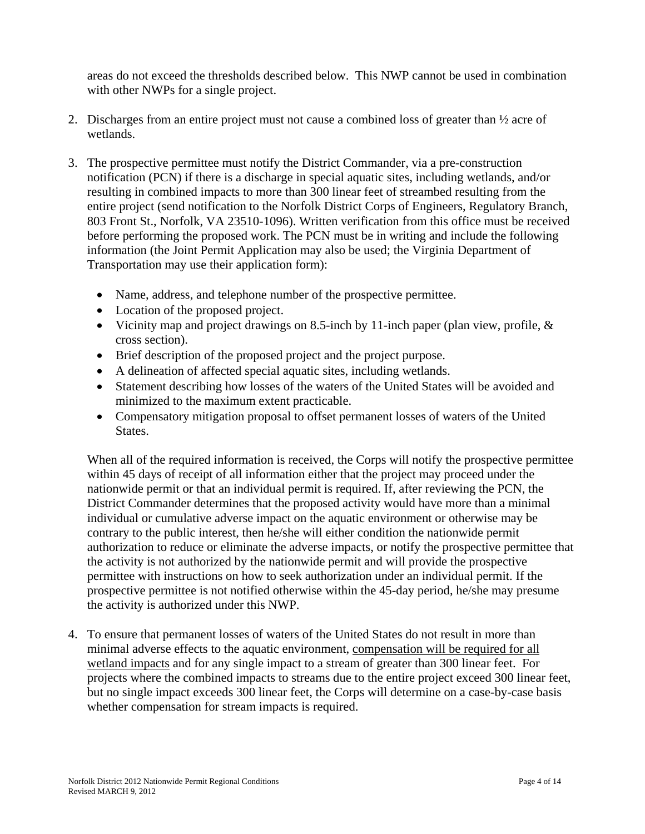areas do not exceed the thresholds described below. This NWP cannot be used in combination with other NWPs for a single project.

- 2. Discharges from an entire project must not cause a combined loss of greater than  $\frac{1}{2}$  acre of wetlands.
- 3. The prospective permittee must notify the District Commander, via a pre-construction notification (PCN) if there is a discharge in special aquatic sites, including wetlands, and/or resulting in combined impacts to more than 300 linear feet of streambed resulting from the entire project (send notification to the Norfolk District Corps of Engineers, Regulatory Branch, 803 Front St., Norfolk, VA 23510-1096). Written verification from this office must be received before performing the proposed work. The PCN must be in writing and include the following information (the Joint Permit Application may also be used; the Virginia Department of Transportation may use their application form):
	- Name, address, and telephone number of the prospective permittee.
	- Location of the proposed project.
	- Vicinity map and project drawings on 8.5-inch by 11-inch paper (plan view, profile, & cross section).
	- Brief description of the proposed project and the project purpose.
	- A delineation of affected special aquatic sites, including wetlands.
	- Statement describing how losses of the waters of the United States will be avoided and minimized to the maximum extent practicable.
	- Compensatory mitigation proposal to offset permanent losses of waters of the United States.

When all of the required information is received, the Corps will notify the prospective permittee within 45 days of receipt of all information either that the project may proceed under the nationwide permit or that an individual permit is required. If, after reviewing the PCN, the District Commander determines that the proposed activity would have more than a minimal individual or cumulative adverse impact on the aquatic environment or otherwise may be contrary to the public interest, then he/she will either condition the nationwide permit authorization to reduce or eliminate the adverse impacts, or notify the prospective permittee that the activity is not authorized by the nationwide permit and will provide the prospective permittee with instructions on how to seek authorization under an individual permit. If the prospective permittee is not notified otherwise within the 45-day period, he/she may presume the activity is authorized under this NWP.

4. To ensure that permanent losses of waters of the United States do not result in more than minimal adverse effects to the aquatic environment, compensation will be required for all wetland impacts and for any single impact to a stream of greater than 300 linear feet. For projects where the combined impacts to streams due to the entire project exceed 300 linear feet, but no single impact exceeds 300 linear feet, the Corps will determine on a case-by-case basis whether compensation for stream impacts is required.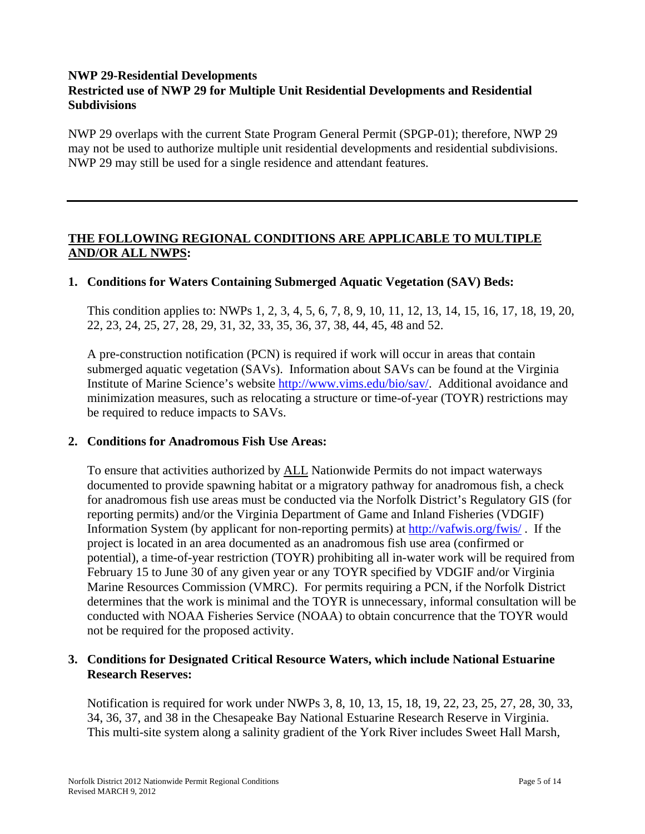## **NWP 29-Residential Developments Restricted use of NWP 29 for Multiple Unit Residential Developments and Residential Subdivisions**

NWP 29 overlaps with the current State Program General Permit (SPGP-01); therefore, NWP 29 may not be used to authorize multiple unit residential developments and residential subdivisions. NWP 29 may still be used for a single residence and attendant features.

## **THE FOLLOWING REGIONAL CONDITIONS ARE APPLICABLE TO MULTIPLE AND/OR ALL NWPS:**

### **1. Conditions for Waters Containing Submerged Aquatic Vegetation (SAV) Beds:**

This condition applies to: NWPs 1, 2, 3, 4, 5, 6, 7, 8, 9, 10, 11, 12, 13, 14, 15, 16, 17, 18, 19, 20, 22, 23, 24, 25, 27, 28, 29, 31, 32, 33, 35, 36, 37, 38, 44, 45, 48 and 52.

A pre-construction notification (PCN) is required if work will occur in areas that contain submerged aquatic vegetation (SAVs). Information about SAVs can be found at the Virginia Institute of Marine Science's website http://www.vims.edu/bio/sav/. Additional avoidance and minimization measures, such as relocating a structure or time-of-year (TOYR) restrictions may be required to reduce impacts to SAVs.

#### **2. Conditions for Anadromous Fish Use Areas:**

To ensure that activities authorized by ALL Nationwide Permits do not impact waterways documented to provide spawning habitat or a migratory pathway for anadromous fish, a check for anadromous fish use areas must be conducted via the Norfolk District's Regulatory GIS (for reporting permits) and/or the Virginia Department of Game and Inland Fisheries (VDGIF) Information System (by applicant for non-reporting permits) at http://vafwis.org/fwis/ . If the project is located in an area documented as an anadromous fish use area (confirmed or potential), a time-of-year restriction (TOYR) prohibiting all in-water work will be required from February 15 to June 30 of any given year or any TOYR specified by VDGIF and/or Virginia Marine Resources Commission (VMRC). For permits requiring a PCN, if the Norfolk District determines that the work is minimal and the TOYR is unnecessary, informal consultation will be conducted with NOAA Fisheries Service (NOAA) to obtain concurrence that the TOYR would not be required for the proposed activity.

#### **3. Conditions for Designated Critical Resource Waters, which include National Estuarine Research Reserves:**

Notification is required for work under NWPs 3, 8, 10, 13, 15, 18, 19, 22, 23, 25, 27, 28, 30, 33, 34, 36, 37, and 38 in the Chesapeake Bay National Estuarine Research Reserve in Virginia. This multi-site system along a salinity gradient of the York River includes Sweet Hall Marsh,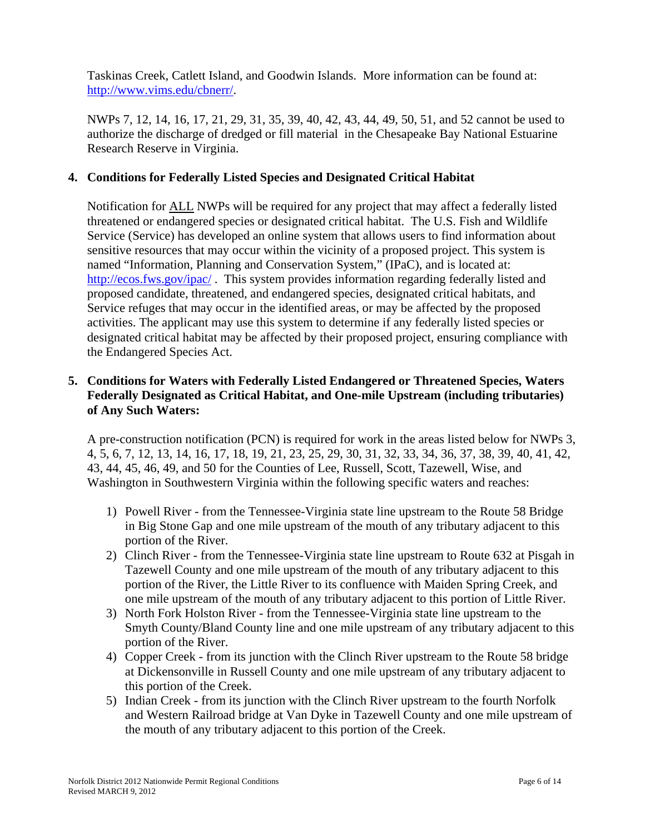Taskinas Creek, Catlett Island, and Goodwin Islands. More information can be found at: http://www.vims.edu/cbnerr/.

NWPs 7, 12, 14, 16, 17, 21, 29, 31, 35, 39, 40, 42, 43, 44, 49, 50, 51, and 52 cannot be used to authorize the discharge of dredged or fill material in the Chesapeake Bay National Estuarine Research Reserve in Virginia.

# **4. Conditions for Federally Listed Species and Designated Critical Habitat**

Notification for ALL NWPs will be required for any project that may affect a federally listed threatened or endangered species or designated critical habitat. The U.S. Fish and Wildlife Service (Service) has developed an online system that allows users to find information about sensitive resources that may occur within the vicinity of a proposed project. This system is named "Information, Planning and Conservation System," (IPaC), and is located at: http://ecos.fws.gov/ipac/. This system provides information regarding federally listed and proposed candidate, threatened, and endangered species, designated critical habitats, and Service refuges that may occur in the identified areas, or may be affected by the proposed activities. The applicant may use this system to determine if any federally listed species or designated critical habitat may be affected by their proposed project, ensuring compliance with the Endangered Species Act.

## **5. Conditions for Waters with Federally Listed Endangered or Threatened Species, Waters Federally Designated as Critical Habitat, and One-mile Upstream (including tributaries) of Any Such Waters:**

A pre-construction notification (PCN) is required for work in the areas listed below for NWPs 3, 4, 5, 6, 7, 12, 13, 14, 16, 17, 18, 19, 21, 23, 25, 29, 30, 31, 32, 33, 34, 36, 37, 38, 39, 40, 41, 42, 43, 44, 45, 46, 49, and 50 for the Counties of Lee, Russell, Scott, Tazewell, Wise, and Washington in Southwestern Virginia within the following specific waters and reaches:

- 1) Powell River from the Tennessee-Virginia state line upstream to the Route 58 Bridge in Big Stone Gap and one mile upstream of the mouth of any tributary adjacent to this portion of the River.
- 2) Clinch River from the Tennessee-Virginia state line upstream to Route 632 at Pisgah in Tazewell County and one mile upstream of the mouth of any tributary adjacent to this portion of the River, the Little River to its confluence with Maiden Spring Creek, and one mile upstream of the mouth of any tributary adjacent to this portion of Little River.
- 3) North Fork Holston River from the Tennessee-Virginia state line upstream to the Smyth County/Bland County line and one mile upstream of any tributary adjacent to this portion of the River.
- 4) Copper Creek from its junction with the Clinch River upstream to the Route 58 bridge at Dickensonville in Russell County and one mile upstream of any tributary adjacent to this portion of the Creek.
- 5) Indian Creek from its junction with the Clinch River upstream to the fourth Norfolk and Western Railroad bridge at Van Dyke in Tazewell County and one mile upstream of the mouth of any tributary adjacent to this portion of the Creek.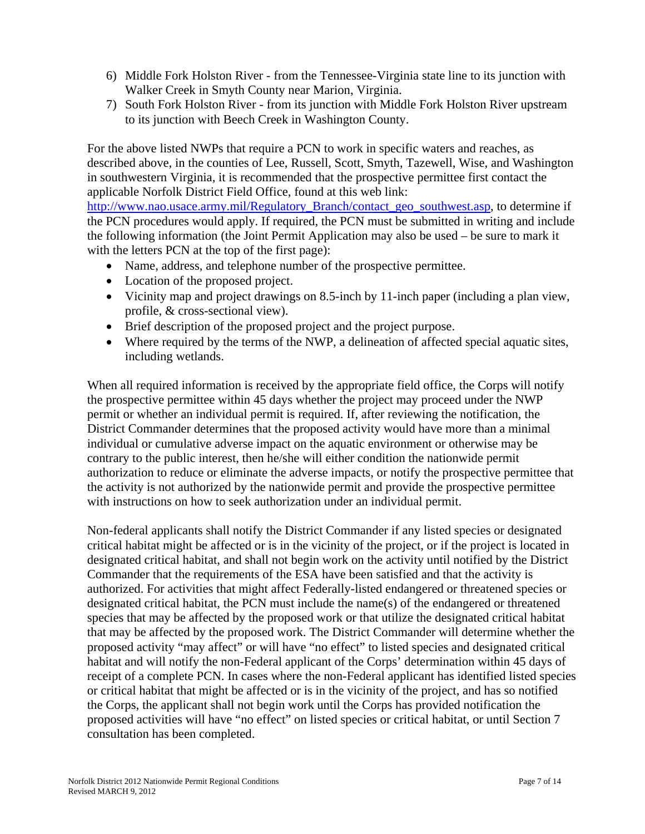- 6) Middle Fork Holston River from the Tennessee-Virginia state line to its junction with Walker Creek in Smyth County near Marion, Virginia.
- 7) South Fork Holston River from its junction with Middle Fork Holston River upstream to its junction with Beech Creek in Washington County.

For the above listed NWPs that require a PCN to work in specific waters and reaches, as described above, in the counties of Lee, Russell, Scott, Smyth, Tazewell, Wise, and Washington in southwestern Virginia, it is recommended that the prospective permittee first contact the applicable Norfolk District Field Office, found at this web link:

http://www.nao.usace.army.mil/Regulatory\_Branch/contact\_geo\_southwest.asp, to determine if the PCN procedures would apply. If required, the PCN must be submitted in writing and include the following information (the Joint Permit Application may also be used – be sure to mark it with the letters PCN at the top of the first page):

- Name, address, and telephone number of the prospective permittee.
- Location of the proposed project.
- Vicinity map and project drawings on 8.5-inch by 11-inch paper (including a plan view, profile, & cross-sectional view).
- Brief description of the proposed project and the project purpose.
- Where required by the terms of the NWP, a delineation of affected special aquatic sites, including wetlands.

When all required information is received by the appropriate field office, the Corps will notify the prospective permittee within 45 days whether the project may proceed under the NWP permit or whether an individual permit is required. If, after reviewing the notification, the District Commander determines that the proposed activity would have more than a minimal individual or cumulative adverse impact on the aquatic environment or otherwise may be contrary to the public interest, then he/she will either condition the nationwide permit authorization to reduce or eliminate the adverse impacts, or notify the prospective permittee that the activity is not authorized by the nationwide permit and provide the prospective permittee with instructions on how to seek authorization under an individual permit.

Non-federal applicants shall notify the District Commander if any listed species or designated critical habitat might be affected or is in the vicinity of the project, or if the project is located in designated critical habitat, and shall not begin work on the activity until notified by the District Commander that the requirements of the ESA have been satisfied and that the activity is authorized. For activities that might affect Federally-listed endangered or threatened species or designated critical habitat, the PCN must include the name(s) of the endangered or threatened species that may be affected by the proposed work or that utilize the designated critical habitat that may be affected by the proposed work. The District Commander will determine whether the proposed activity "may affect" or will have "no effect" to listed species and designated critical habitat and will notify the non-Federal applicant of the Corps' determination within 45 days of receipt of a complete PCN. In cases where the non-Federal applicant has identified listed species or critical habitat that might be affected or is in the vicinity of the project, and has so notified the Corps, the applicant shall not begin work until the Corps has provided notification the proposed activities will have "no effect" on listed species or critical habitat, or until Section 7 consultation has been completed.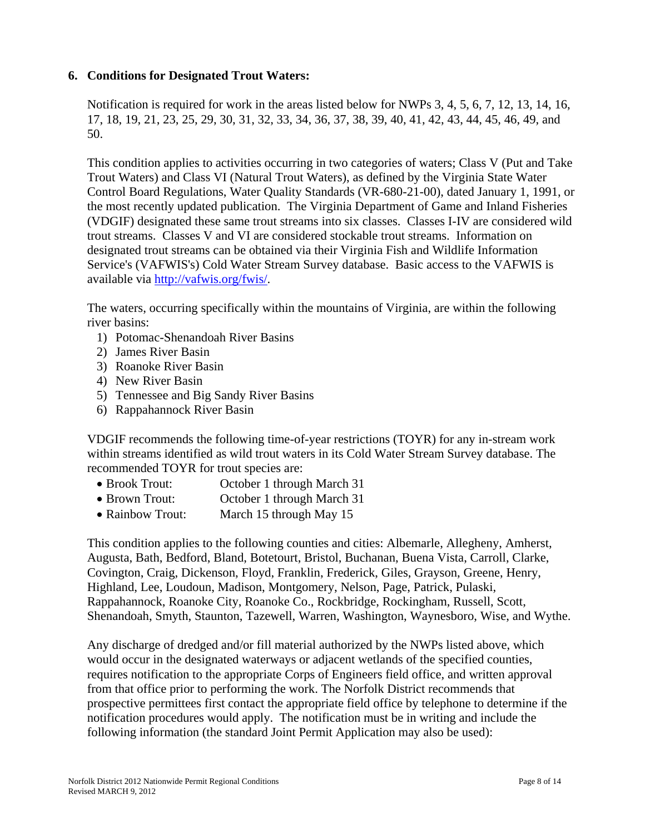#### **6. Conditions for Designated Trout Waters:**

Notification is required for work in the areas listed below for NWPs 3, 4, 5, 6, 7, 12, 13, 14, 16, 17, 18, 19, 21, 23, 25, 29, 30, 31, 32, 33, 34, 36, 37, 38, 39, 40, 41, 42, 43, 44, 45, 46, 49, and 50.

This condition applies to activities occurring in two categories of waters; Class V (Put and Take Trout Waters) and Class VI (Natural Trout Waters), as defined by the Virginia State Water Control Board Regulations, Water Quality Standards (VR-680-21-00), dated January 1, 1991, or the most recently updated publication. The Virginia Department of Game and Inland Fisheries (VDGIF) designated these same trout streams into six classes. Classes I-IV are considered wild trout streams. Classes V and VI are considered stockable trout streams. Information on designated trout streams can be obtained via their Virginia Fish and Wildlife Information Service's (VAFWIS's) Cold Water Stream Survey database. Basic access to the VAFWIS is available via http://vafwis.org/fwis/.

The waters, occurring specifically within the mountains of Virginia, are within the following river basins:

- 1) Potomac-Shenandoah River Basins
- 2) James River Basin
- 3) Roanoke River Basin
- 4) New River Basin
- 5) Tennessee and Big Sandy River Basins
- 6) Rappahannock River Basin

VDGIF recommends the following time-of-year restrictions (TOYR) for any in-stream work within streams identified as wild trout waters in its Cold Water Stream Survey database. The recommended TOYR for trout species are:

- Brook Trout: October 1 through March 31
- Brown Trout: October 1 through March 31
- Rainbow Trout: March 15 through May 15

This condition applies to the following counties and cities: Albemarle, Allegheny, Amherst, Augusta, Bath, Bedford, Bland, Botetourt, Bristol, Buchanan, Buena Vista, Carroll, Clarke, Covington, Craig, Dickenson, Floyd, Franklin, Frederick, Giles, Grayson, Greene, Henry, Highland, Lee, Loudoun, Madison, Montgomery, Nelson, Page, Patrick, Pulaski, Rappahannock, Roanoke City, Roanoke Co., Rockbridge, Rockingham, Russell, Scott, Shenandoah, Smyth, Staunton, Tazewell, Warren, Washington, Waynesboro, Wise, and Wythe.

Any discharge of dredged and/or fill material authorized by the NWPs listed above, which would occur in the designated waterways or adjacent wetlands of the specified counties, requires notification to the appropriate Corps of Engineers field office, and written approval from that office prior to performing the work. The Norfolk District recommends that prospective permittees first contact the appropriate field office by telephone to determine if the notification procedures would apply. The notification must be in writing and include the following information (the standard Joint Permit Application may also be used):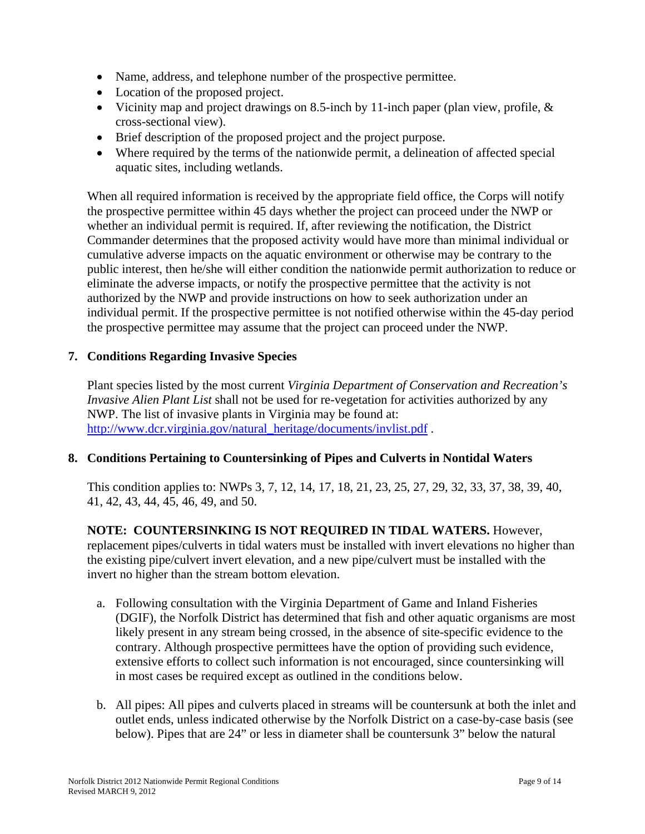- Name, address, and telephone number of the prospective permittee.
- Location of the proposed project.
- Vicinity map and project drawings on 8.5-inch by 11-inch paper (plan view, profile, & cross-sectional view).
- Brief description of the proposed project and the project purpose.
- Where required by the terms of the nationwide permit, a delineation of affected special aquatic sites, including wetlands.

When all required information is received by the appropriate field office, the Corps will notify the prospective permittee within 45 days whether the project can proceed under the NWP or whether an individual permit is required. If, after reviewing the notification, the District Commander determines that the proposed activity would have more than minimal individual or cumulative adverse impacts on the aquatic environment or otherwise may be contrary to the public interest, then he/she will either condition the nationwide permit authorization to reduce or eliminate the adverse impacts, or notify the prospective permittee that the activity is not authorized by the NWP and provide instructions on how to seek authorization under an individual permit. If the prospective permittee is not notified otherwise within the 45-day period the prospective permittee may assume that the project can proceed under the NWP.

#### **7. Conditions Regarding Invasive Species**

Plant species listed by the most current *Virginia Department of Conservation and Recreation's Invasive Alien Plant List* shall not be used for re-vegetation for activities authorized by any NWP. The list of invasive plants in Virginia may be found at: http://www.dcr.virginia.gov/natural\_heritage/documents/invlist.pdf.

#### **8. Conditions Pertaining to Countersinking of Pipes and Culverts in Nontidal Waters**

This condition applies to: NWPs 3, 7, 12, 14, 17, 18, 21, 23, 25, 27, 29, 32, 33, 37, 38, 39, 40, 41, 42, 43, 44, 45, 46, 49, and 50.

**NOTE: COUNTERSINKING IS NOT REQUIRED IN TIDAL WATERS.** However, replacement pipes/culverts in tidal waters must be installed with invert elevations no higher than the existing pipe/culvert invert elevation, and a new pipe/culvert must be installed with the invert no higher than the stream bottom elevation.

- a. Following consultation with the Virginia Department of Game and Inland Fisheries (DGIF), the Norfolk District has determined that fish and other aquatic organisms are most likely present in any stream being crossed, in the absence of site-specific evidence to the contrary. Although prospective permittees have the option of providing such evidence, extensive efforts to collect such information is not encouraged, since countersinking will in most cases be required except as outlined in the conditions below.
- b. All pipes: All pipes and culverts placed in streams will be countersunk at both the inlet and outlet ends, unless indicated otherwise by the Norfolk District on a case-by-case basis (see below). Pipes that are 24" or less in diameter shall be countersunk 3" below the natural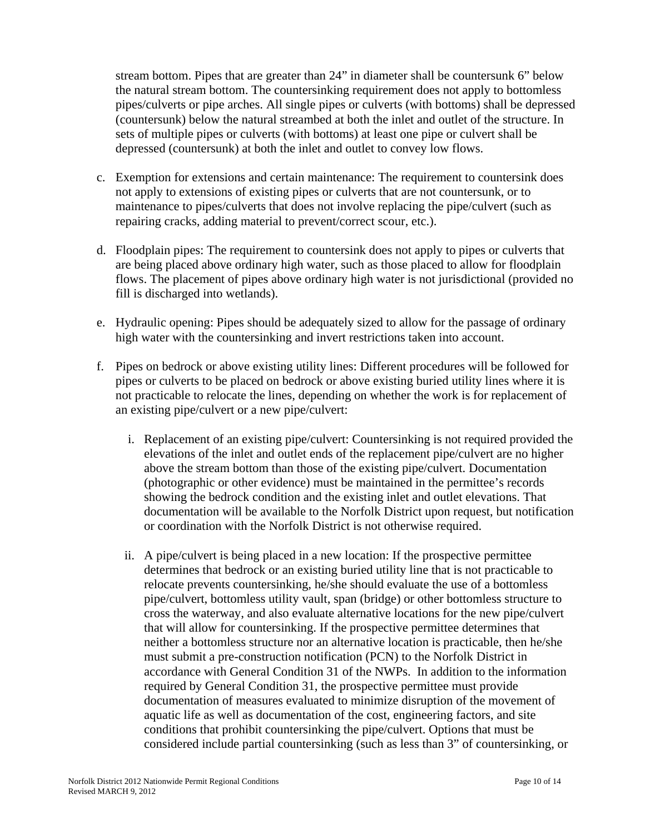stream bottom. Pipes that are greater than 24" in diameter shall be countersunk 6" below the natural stream bottom. The countersinking requirement does not apply to bottomless pipes/culverts or pipe arches. All single pipes or culverts (with bottoms) shall be depressed (countersunk) below the natural streambed at both the inlet and outlet of the structure. In sets of multiple pipes or culverts (with bottoms) at least one pipe or culvert shall be depressed (countersunk) at both the inlet and outlet to convey low flows.

- c. Exemption for extensions and certain maintenance: The requirement to countersink does not apply to extensions of existing pipes or culverts that are not countersunk, or to maintenance to pipes/culverts that does not involve replacing the pipe/culvert (such as repairing cracks, adding material to prevent/correct scour, etc.).
- d. Floodplain pipes: The requirement to countersink does not apply to pipes or culverts that are being placed above ordinary high water, such as those placed to allow for floodplain flows. The placement of pipes above ordinary high water is not jurisdictional (provided no fill is discharged into wetlands).
- e. Hydraulic opening: Pipes should be adequately sized to allow for the passage of ordinary high water with the countersinking and invert restrictions taken into account.
- f. Pipes on bedrock or above existing utility lines: Different procedures will be followed for pipes or culverts to be placed on bedrock or above existing buried utility lines where it is not practicable to relocate the lines, depending on whether the work is for replacement of an existing pipe/culvert or a new pipe/culvert:
	- i. Replacement of an existing pipe/culvert: Countersinking is not required provided the elevations of the inlet and outlet ends of the replacement pipe/culvert are no higher above the stream bottom than those of the existing pipe/culvert. Documentation (photographic or other evidence) must be maintained in the permittee's records showing the bedrock condition and the existing inlet and outlet elevations. That documentation will be available to the Norfolk District upon request, but notification or coordination with the Norfolk District is not otherwise required.
	- ii. A pipe/culvert is being placed in a new location: If the prospective permittee determines that bedrock or an existing buried utility line that is not practicable to relocate prevents countersinking, he/she should evaluate the use of a bottomless pipe/culvert, bottomless utility vault, span (bridge) or other bottomless structure to cross the waterway, and also evaluate alternative locations for the new pipe/culvert that will allow for countersinking. If the prospective permittee determines that neither a bottomless structure nor an alternative location is practicable, then he/she must submit a pre-construction notification (PCN) to the Norfolk District in accordance with General Condition 31 of the NWPs. In addition to the information required by General Condition 31, the prospective permittee must provide documentation of measures evaluated to minimize disruption of the movement of aquatic life as well as documentation of the cost, engineering factors, and site conditions that prohibit countersinking the pipe/culvert. Options that must be considered include partial countersinking (such as less than 3" of countersinking, or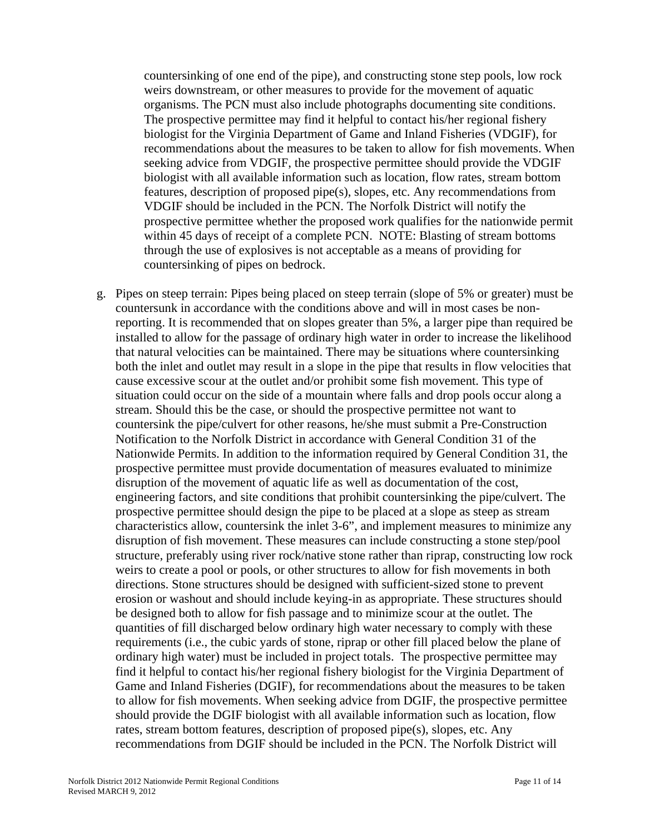countersinking of one end of the pipe), and constructing stone step pools, low rock weirs downstream, or other measures to provide for the movement of aquatic organisms. The PCN must also include photographs documenting site conditions. The prospective permittee may find it helpful to contact his/her regional fishery biologist for the Virginia Department of Game and Inland Fisheries (VDGIF), for recommendations about the measures to be taken to allow for fish movements. When seeking advice from VDGIF, the prospective permittee should provide the VDGIF biologist with all available information such as location, flow rates, stream bottom features, description of proposed pipe(s), slopes, etc. Any recommendations from VDGIF should be included in the PCN. The Norfolk District will notify the prospective permittee whether the proposed work qualifies for the nationwide permit within 45 days of receipt of a complete PCN. NOTE: Blasting of stream bottoms through the use of explosives is not acceptable as a means of providing for countersinking of pipes on bedrock.

g. Pipes on steep terrain: Pipes being placed on steep terrain (slope of 5% or greater) must be countersunk in accordance with the conditions above and will in most cases be nonreporting. It is recommended that on slopes greater than 5%, a larger pipe than required be installed to allow for the passage of ordinary high water in order to increase the likelihood that natural velocities can be maintained. There may be situations where countersinking both the inlet and outlet may result in a slope in the pipe that results in flow velocities that cause excessive scour at the outlet and/or prohibit some fish movement. This type of situation could occur on the side of a mountain where falls and drop pools occur along a stream. Should this be the case, or should the prospective permittee not want to countersink the pipe/culvert for other reasons, he/she must submit a Pre-Construction Notification to the Norfolk District in accordance with General Condition 31 of the Nationwide Permits. In addition to the information required by General Condition 31, the prospective permittee must provide documentation of measures evaluated to minimize disruption of the movement of aquatic life as well as documentation of the cost, engineering factors, and site conditions that prohibit countersinking the pipe/culvert. The prospective permittee should design the pipe to be placed at a slope as steep as stream characteristics allow, countersink the inlet 3-6", and implement measures to minimize any disruption of fish movement. These measures can include constructing a stone step/pool structure, preferably using river rock/native stone rather than riprap, constructing low rock weirs to create a pool or pools, or other structures to allow for fish movements in both directions. Stone structures should be designed with sufficient-sized stone to prevent erosion or washout and should include keying-in as appropriate. These structures should be designed both to allow for fish passage and to minimize scour at the outlet. The quantities of fill discharged below ordinary high water necessary to comply with these requirements (i.e., the cubic yards of stone, riprap or other fill placed below the plane of ordinary high water) must be included in project totals. The prospective permittee may find it helpful to contact his/her regional fishery biologist for the Virginia Department of Game and Inland Fisheries (DGIF), for recommendations about the measures to be taken to allow for fish movements. When seeking advice from DGIF, the prospective permittee should provide the DGIF biologist with all available information such as location, flow rates, stream bottom features, description of proposed pipe(s), slopes, etc. Any recommendations from DGIF should be included in the PCN. The Norfolk District will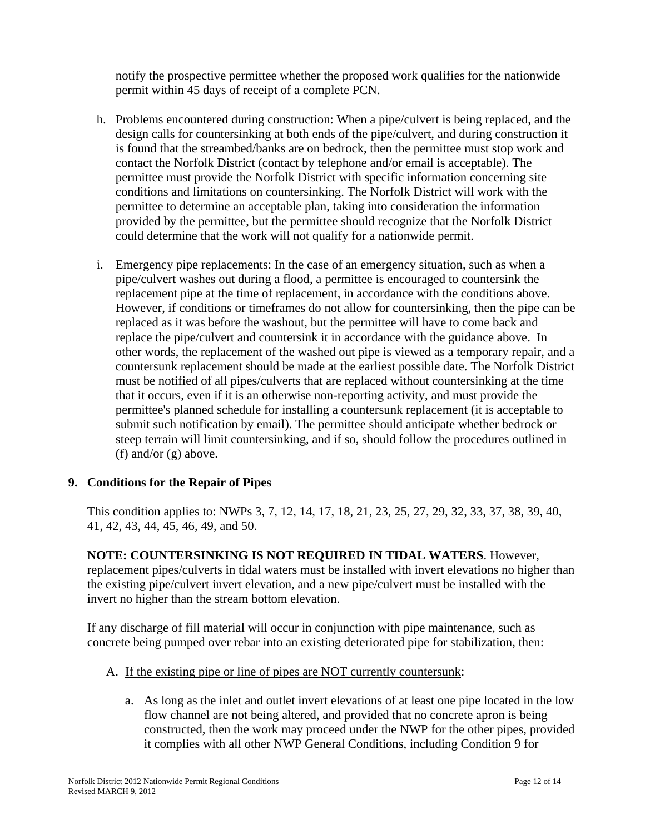notify the prospective permittee whether the proposed work qualifies for the nationwide permit within 45 days of receipt of a complete PCN.

- h. Problems encountered during construction: When a pipe/culvert is being replaced, and the design calls for countersinking at both ends of the pipe/culvert, and during construction it is found that the streambed/banks are on bedrock, then the permittee must stop work and contact the Norfolk District (contact by telephone and/or email is acceptable). The permittee must provide the Norfolk District with specific information concerning site conditions and limitations on countersinking. The Norfolk District will work with the permittee to determine an acceptable plan, taking into consideration the information provided by the permittee, but the permittee should recognize that the Norfolk District could determine that the work will not qualify for a nationwide permit.
- i. Emergency pipe replacements: In the case of an emergency situation, such as when a pipe/culvert washes out during a flood, a permittee is encouraged to countersink the replacement pipe at the time of replacement, in accordance with the conditions above. However, if conditions or timeframes do not allow for countersinking, then the pipe can be replaced as it was before the washout, but the permittee will have to come back and replace the pipe/culvert and countersink it in accordance with the guidance above. In other words, the replacement of the washed out pipe is viewed as a temporary repair, and a countersunk replacement should be made at the earliest possible date. The Norfolk District must be notified of all pipes/culverts that are replaced without countersinking at the time that it occurs, even if it is an otherwise non-reporting activity, and must provide the permittee's planned schedule for installing a countersunk replacement (it is acceptable to submit such notification by email). The permittee should anticipate whether bedrock or steep terrain will limit countersinking, and if so, should follow the procedures outlined in (f) and/or (g) above.

# **9. Conditions for the Repair of Pipes**

This condition applies to: NWPs 3, 7, 12, 14, 17, 18, 21, 23, 25, 27, 29, 32, 33, 37, 38, 39, 40, 41, 42, 43, 44, 45, 46, 49, and 50.

**NOTE: COUNTERSINKING IS NOT REQUIRED IN TIDAL WATERS**. However, replacement pipes/culverts in tidal waters must be installed with invert elevations no higher than the existing pipe/culvert invert elevation, and a new pipe/culvert must be installed with the invert no higher than the stream bottom elevation.

If any discharge of fill material will occur in conjunction with pipe maintenance, such as concrete being pumped over rebar into an existing deteriorated pipe for stabilization, then:

- A. If the existing pipe or line of pipes are NOT currently countersunk:
	- a. As long as the inlet and outlet invert elevations of at least one pipe located in the low flow channel are not being altered, and provided that no concrete apron is being constructed, then the work may proceed under the NWP for the other pipes, provided it complies with all other NWP General Conditions, including Condition 9 for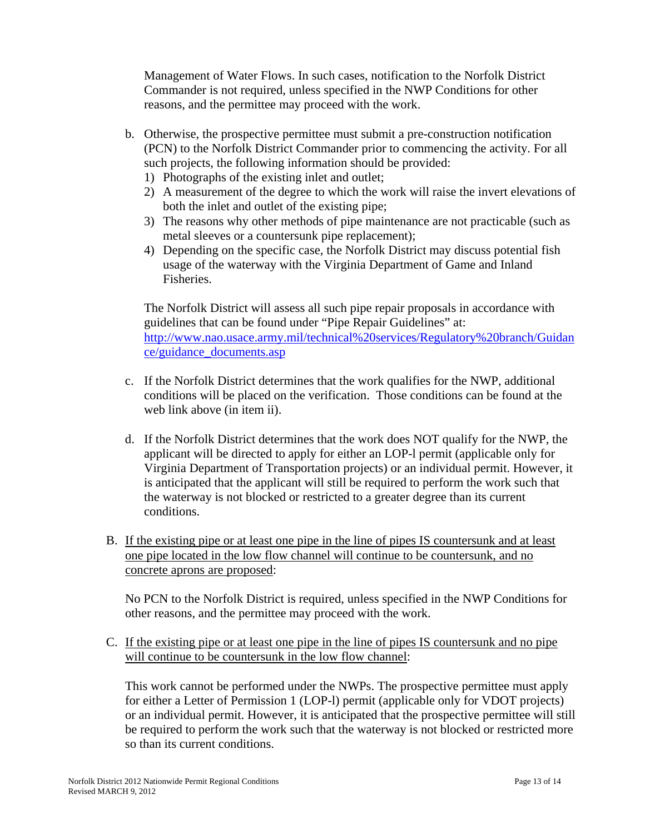Management of Water Flows. In such cases, notification to the Norfolk District Commander is not required, unless specified in the NWP Conditions for other reasons, and the permittee may proceed with the work.

- b. Otherwise, the prospective permittee must submit a pre-construction notification (PCN) to the Norfolk District Commander prior to commencing the activity. For all such projects, the following information should be provided:
	- 1) Photographs of the existing inlet and outlet;
	- 2) A measurement of the degree to which the work will raise the invert elevations of both the inlet and outlet of the existing pipe;
	- 3) The reasons why other methods of pipe maintenance are not practicable (such as metal sleeves or a countersunk pipe replacement);
	- 4) Depending on the specific case, the Norfolk District may discuss potential fish usage of the waterway with the Virginia Department of Game and Inland Fisheries.

The Norfolk District will assess all such pipe repair proposals in accordance with guidelines that can be found under "Pipe Repair Guidelines" at: http://www.nao.usace.army.mil/technical%20services/Regulatory%20branch/Guidan ce/guidance\_documents.asp

- c. If the Norfolk District determines that the work qualifies for the NWP, additional conditions will be placed on the verification. Those conditions can be found at the web link above (in item ii).
- d. If the Norfolk District determines that the work does NOT qualify for the NWP, the applicant will be directed to apply for either an LOP-l permit (applicable only for Virginia Department of Transportation projects) or an individual permit. However, it is anticipated that the applicant will still be required to perform the work such that the waterway is not blocked or restricted to a greater degree than its current conditions.
- B. If the existing pipe or at least one pipe in the line of pipes IS countersunk and at least one pipe located in the low flow channel will continue to be countersunk, and no concrete aprons are proposed:

No PCN to the Norfolk District is required, unless specified in the NWP Conditions for other reasons, and the permittee may proceed with the work.

C. If the existing pipe or at least one pipe in the line of pipes IS countersunk and no pipe will continue to be countersunk in the low flow channel:

This work cannot be performed under the NWPs. The prospective permittee must apply for either a Letter of Permission 1 (LOP-l) permit (applicable only for VDOT projects) or an individual permit. However, it is anticipated that the prospective permittee will still be required to perform the work such that the waterway is not blocked or restricted more so than its current conditions.